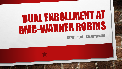# DUAL ENROLLMENT AT **GMC-WARNER ROBINS START HERE... GO ANYWHERE!**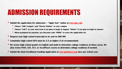### ADMISSION REQUIREMENTS

• **Submit the application for admission – "Apply Now" online at [www.gmc.edu](http://www.gmc.edu/)**

- **Choose "GMC Campus" and "Warner Robins" as your campus**
- **Choose "Fall I" as your start term if you plan to begin in August; "Winter" if you plan to begin in January**
- **When prompted for payment, use discount code "WRDE" to waive the application fee**
- **Request your high school transcript to be sent to GMC-WR**

 $\mathbb{R}^n$ 

- **Cumulative high school GPA must be 2.5 or higher (3.0 recommended)**
- **We review high school grades in English and math to determine college readiness in those areas. We also review PSAT, SAT, ACT, or AccuPlacer scores to determine college readiness if needed.**
- **Submit the Dual Enrollment Funding Application at [www.gafutures.org](http://www.gafutures.org/) once per school year.**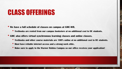### CLASS OFFERINGS

• **We have a full schedule of classes on campus at GMC-WR.**

- **Textbooks are rented from our campus bookstore at no additional cost to DE students.**
- **GMC also offers virtual synchronous learning classes and online classes.**
	- **Textbooks and other course materials are 100% online at no additional cost to DE students.**
	- **Must have reliable internet access and a strong work ethic.**
	- **Make sure to apply to the Warner Robins Campus so our office receives your application!**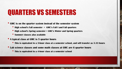### QUARTERS VS SEMESTERS

• **GMC is on the quarter system instead of the semester system**

- **High school's Fall semester = GMC's Fall I and Fall quarters**
- **High school's Spring semester = GMC's Winter and Spring quarters**
- **Summer classes also available**
- **A typical class at GMC is 5 quarter hours**
	- **This is equivalent to a 3-hour class at a semester school, and will transfer as 3.33 hours**
- **Lab science classes and some math classes at GMC are 6 quarter hours**
	- **This is equivalent to a 4-hour class at a semester school**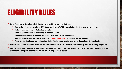### ELIGIBILITY RULES

• **Dual Enrollment funding eligibility is governed by state regulations:**

- **Must be in 11th or 12th grade, or 10th grade with high SAT/ACT scores before the first term of enrollment.**
- **Up to 45 quarter hours of DE funding overall.**
- **Up to 12 quarter hours of DE funding in a single quarter.**
- **Up to four quarters of DE funding per school year, which starts in Summer.**
- **Only courses listed on the Course Directory at [www.gafutures.org](http://www.gafutures.org/) are eligible for DE funding.**
- **These are funding limits, not registration limits. Students may pay for courses or hours beyond these limits.**
- **Withdrawals - Two or more withdrawals in Summer 2020 or later will permanently end DE funding eligibility.**
- **Course repeats - A course attempted in Summer 2020 or later can be paid for by DE funding only once. If not successful, a repeat attempt would be an out of pocket expense.**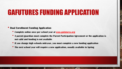### GAFUTURES FUNDING APPLICATION

#### • **Dual Enrollment Funding Application**

- **Complete online once per school year at [www.gafutures.org](http://www.gafutures.org/)**
- **A parent/guardian must complete the Parent Participation Agreement or the application is not valid and funding is not available**
- **If you change high schools mid-year, you must complete a new funding application**
- **The next school year will require a new application, usually available in Spring**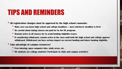### TIPS AND REMINDERS

• **All registration changes must be approved by the high school counselor.**

- **Make sure you know high school and college deadlines – meet whichever deadline is first!**
- **Be careful about taking classes not paid for by the DE program.**
- **Remain active in all classes for to avoid funding eligibility issues.**
- **If considering withdrawal, remain active in the class until both the high school and college approve withdrawal. Withdrawal can have serious impact on current funding and future funding eligibility.**
- **Take advantage of campus resources!**
	- **Free tutoring, open computer labs, study areas, etc.**
	- **DE students are college students! Participate in clubs and campus activities!**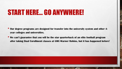### START HERE… GO ANYWHERE!

- **Our degree programs are designed for transfer into the university system and other 4 year colleges and universities.**
- **We can't guarantee that you will be the star quarterback of an elite football program after taking Dual Enrollment classes at GMC-Warner Robins, but it has happened before!**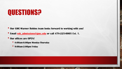### QUESTIONS?

- **Our GMC-Warner Robins team looks forward to working with you!**
- **Email [rob\\_admissions@gmc.edu](mailto:rob_admissions@gmc.edu) or call 478-225-0005 Ext. 1.**
- **Our offices are OPEN!**
	- **8:00am-6:00pm Monday-Thursday**
	- **9:00am-2:00pm Friday**

 $\label{eq:2} \begin{array}{ll} \hat{E}_{\alpha\beta} & \hat{E}_{\beta\beta} \\ \end{array}$ 

 $\frac{1}{2}$